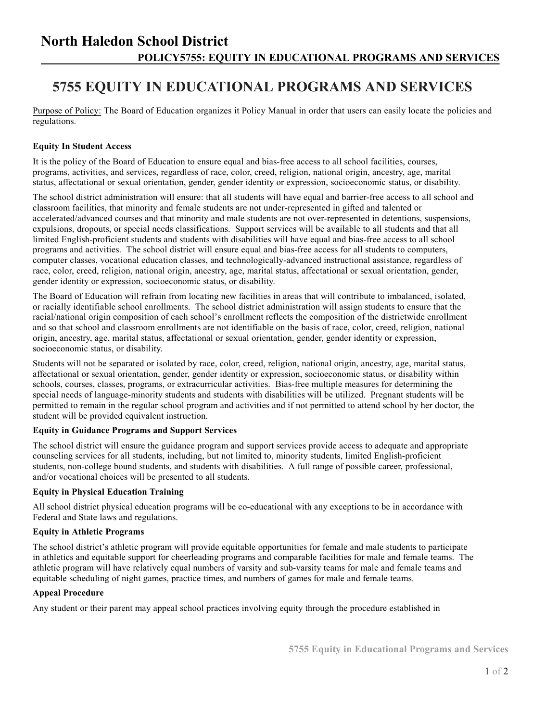### **North Haledon School District POLICY5755: EQUITY IN EDUCATIONAL PROGRAMS AND SERVICES**

## **5755 EQUITY IN EDUCATIONAL PROGRAMS AND SERVICES**

Purpose of Policy: The Board of Education organizes it Policy Manual in order that users can easily locate the policies and regulations.

### **Equity In Student Access**

It is the policy of the Board of Education to ensure equal and bias-free access to all school facilities, courses, programs, activities, and services, regardless of race, color, creed, religion, national origin, ancestry, age, marital status, affectational or sexual orientation, gender, gender identity or expression, socioeconomic status, or disability.

The school district administration will ensure: that all students will have equal and barrier-free access to all school and classroom facilities, that minority and female students are not under-represented in gifted and talented or accelerated/advanced courses and that minority and male students are not over-represented in detentions, suspensions, expulsions, dropouts, or special needs classifications. Support services will be available to all students and that all limited English-proficient students and students with disabilities will have equal and bias-free access to all school programs and activities. The school district will ensure equal and bias-free access for all students to computers, computer classes, vocational education classes, and technologically-advanced instructional assistance, regardless of race, color, creed, religion, national origin, ancestry, age, marital status, affectational or sexual orientation, gender, gender identity or expression, socioeconomic status, or disability.

The Board of Education will refrain from locating new facilities in areas that will contribute to imbalanced, isolated, or racially identifiable school enrollments. The school district administration will assign students to ensure that the racial/national origin composition of each school's enrollment reflects the composition of the districtwide enrollment and so that school and classroom enrollments are not identifiable on the basis of race, color, creed, religion, national origin, ancestry, age, marital status, affectational or sexual orientation, gender, gender identity or expression, socioeconomic status, or disability.

Students will not be separated or isolated by race, color, creed, religion, national origin, ancestry, age, marital status, affectational or sexual orientation, gender, gender identity or expression, socioeconomic status, or disability within schools, courses, classes, programs, or extracurricular activities. Bias-free multiple measures for determining the special needs of language-minority students and students with disabilities will be utilized. Pregnant students will be permitted to remain in the regular school program and activities and if not permitted to attend school by her doctor, the student will be provided equivalent instruction.

#### **Equity in Guidance Programs and Support Services**

The school district will ensure the guidance program and support services provide access to adequate and appropriate counseling services for all students, including, but not limited to, minority students, limited English-proficient students, non-college bound students, and students with disabilities. A full range of possible career, professional, and/or vocational choices will be presented to all students.

#### **Equity in Physical Education Training**

All school district physical education programs will be co-educational with any exceptions to be in accordance with Federal and State laws and regulations.

#### **Equity in Athletic Programs**

The school district's athletic program will provide equitable opportunities for female and male students to participate in athletics and equitable support for cheerleading programs and comparable facilities for male and female teams. The athletic program will have relatively equal numbers of varsity and sub-varsity teams for male and female teams and equitable scheduling of night games, practice times, and numbers of games for male and female teams.

#### **Appeal Procedure**

Any student or their parent may appeal school practices involving equity through the procedure established in